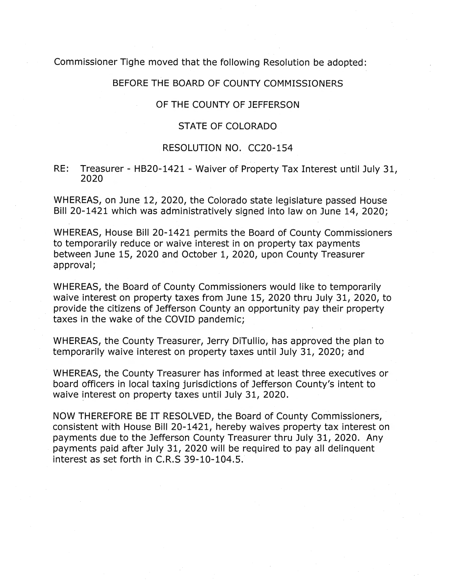Commissioner Tighe moved that the following Resolution be adopted:

### BEFORE THE BOARD OF COUNTY COMMISSIONERS

### OF THE COUNTY OF JEFFERSON

### STATE OF COLORADO

### RESOLUTION NO. CC20-154

RE: Treasurer - HB20-1421 - Waiver of Property Tax Interest until July 31, 2020

WHEREAS, on June 12, 2020, the Colorado state legislature passed House Bill 20-1421 which was administratively signed into law on June 14, 2020;

WHEREAS, House Bill 20-1421 permits the Board of County Commissioners to temporarily reduce or waive interest in on property tax payments between June 15, 2020 and October 1, 2020, upon County Treasurer approval;

WHEREAS, the Board of County Commissioners would like to temporarily waive interest on property taxes from June 15, 2020 thru July 31, 2020, to provide the citizens of Jefferson County an opportunity pay their property taxes in the wake of the COVID pandemic;

WHEREAS, the County Treasurer, Jerry DiTullio, has approved the plan to temporarily waive interest on property taxes until July 31, 2020; and

WHEREAS, the County Treasurer has informed at least three executives or board officers in local taxing jurisdictions of Jefferson County's intent to waive interest on property taxes until July 31, 2020.

NOW THEREFORE BE IT RESOLVED, the Board of County Commissioners, consistent with House Bill 20-1421, hereby waives property tax interest on payments due to the Jefferson County Treasurer thru July 31, 2020. Any payments paid after July 31, 2020 will be required to pay all delinquent interest as set forth in C.R.S 39-10-104.5.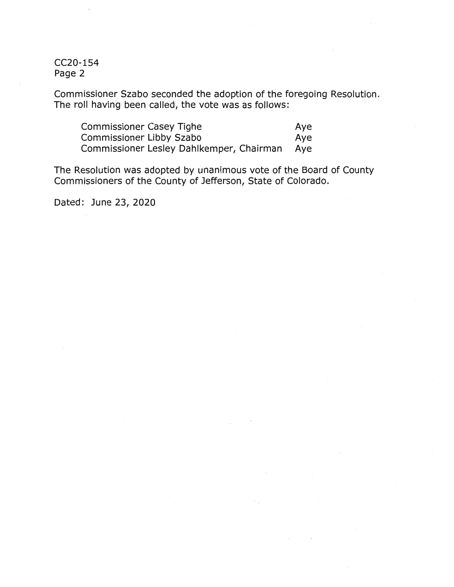CC20-154 Page 2

Commissioner Szabo seconded the adoption of the foregoing Resolution. The roll having been called, the vote was as follows:

| Commissioner Casey Tighe                     | Aye |
|----------------------------------------------|-----|
| Commissioner Libby Szabo                     | Ave |
| Commissioner Lesley Dahlkemper, Chairman Aye |     |

The Resolution was adopted by unanimous vote of the Board of County Commissioners of the County of Jefferson, State of Colorado.

Dated: June 23, 2020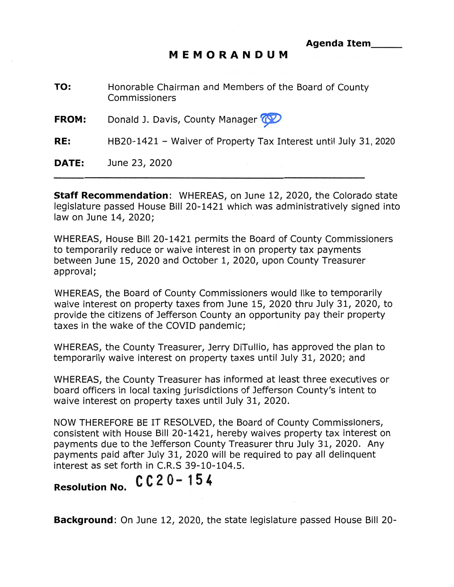### **MEMORANDUM**

**TO:**  Honorable Chairman and Members of the Board of County Commissioners

**FROM:**  Donald J. Davis, County Manager  $\circledcirc$ 

**RE:**  HB20-1421 - Waiver of Property Tax Interest until July 31, 2020

**DATE:**  June 23, 2020

**Staff Recommendation:** WHEREAS, on June 12, 2020, the Colorado state legislature passed House Bill 20-1421 which was administratively signed into law on June 14, 2020;

WHEREAS, House Bill 20-1421 permits the Board of County Commissioners to temporarily reduce or waive interest in on property tax payments between June 15, 2020 and October 1, 2020, upon County Treasurer approval;

WHEREAS, the Board of County Commissioners would like to temporarily waive interest on property taxes from June 15, 2020 thru July 31, 2020, to provide the citizens of Jefferson County an opportunity pay their property taxes in the wake of the COVID pandemic;

WHEREAS, the County Treasurer, Jerry DiTullio, has approved the plan to temporarily waive interest on property taxes until July 31, 2020; and

WHEREAS, the County Treasurer has informed at least three executives or board officers in local taxing jurisdictions of Jefferson County's intent to waive interest on property taxes until July 31, 2020.

NOW THEREFORE BE IT RESOLVED, the Board of County Commissioners, consistent with House Bill 20-1421, hereby waives property tax interest on payments due to the Jefferson County Treasurer thru July 31, 2020. Any payments paid after July 31, 2020 will be required to pay all delinquent interest as set forth in C.R.S 39-10-104.5.

# **Resolution No. CC 2 O-** 15 *4*

**Background:** On June 12, 2020, the state legislature passed House Bill 20-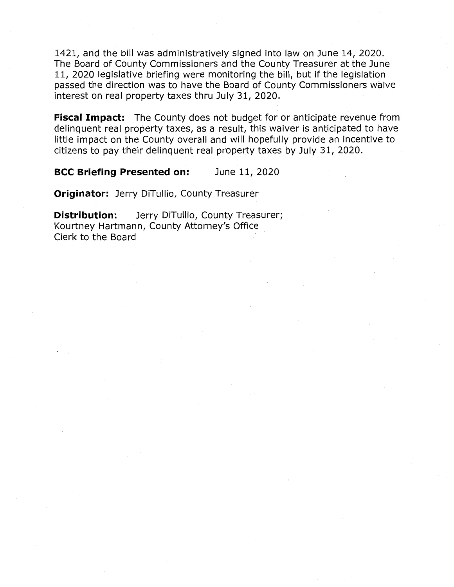1421, and the bill was administratively signed into law on June 14, 2020. The Board of County Commissioners and the County Treasurer at the June 11, 2020 legislative briefing were monitoring the bill, but if the legislation passed the direction was to have the Board of County Commissioners waive interest on real property taxes thru July 31, 2020.

**Fiscal Impact:** The County does not budget for or anticipate revenue from delinquent real property taxes, as a result, this waiver is anticipated to have little impact on the County overall and will hopefully provide an incentive to citizens to pay their delinquent real property taxes by July 31, 2020.

**BCC Briefing Presented on:** June 11, 2020

**Originator:** Jerry DiTullio, County Treasurer

**Distribution:** Jerry DiTullio, County Treasurer; Kourtney Hartmann, County Attorney's Office Clerk to the Board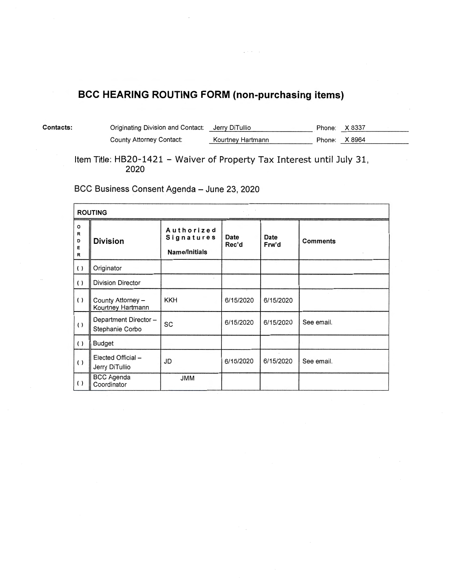## **BCC HEARING ROUTING FORM (non-purchasing items)**

| <b>Contacts:</b> | Originating Division and Contact: Jerry DiTullio |                   | Phone: X 8337 |  |
|------------------|--------------------------------------------------|-------------------|---------------|--|
|                  | County Attorney Contact:                         | Kourtney Hartmann | Phone: X 8964 |  |

Item Title: HB20-1421 - Waiver of Property Tax Interest until July 31, **2020** 

BCC Business Consent Agenda - June 23, 2020

| <b>ROUTING</b>                   |                                         |                                                  |               |               |                 |
|----------------------------------|-----------------------------------------|--------------------------------------------------|---------------|---------------|-----------------|
| $\mathsf{o}$<br>R<br>D<br>Е<br>R | <b>Division</b>                         | Authorized<br><b>Signatures</b><br>Name/Initials | Date<br>Rec'd | Date<br>Frw'd | <b>Comments</b> |
| ( )                              | Originator                              |                                                  |               |               |                 |
| $\left(\right)$                  | <b>Division Director</b>                |                                                  |               |               |                 |
| ( )                              | County Attorney -<br>Kourtney Hartmann  | <b>KKH</b>                                       | 6/15/2020     | 6/15/2020     |                 |
| $\left( \ \right)$               | Department Director-<br>Stephanie Corbo | SC                                               | 6/15/2020     | 6/15/2020     | See email.      |
| ( )                              | <b>Budget</b>                           |                                                  |               |               |                 |
| ( )                              | Elected Official-<br>Jerry DiTullio     | JD                                               | 6/15/2020     | 6/15/2020     | See email.      |
| $\left( \right)$                 | <b>BCC Agenda</b><br>Coordinator        | <b>JMM</b>                                       |               |               |                 |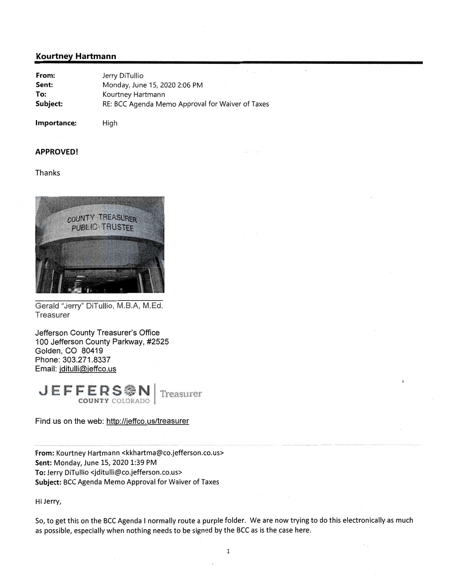### **Kourtney Hartmann**

| From:    | Jerry DiTullio                                   |
|----------|--------------------------------------------------|
| Sent:    | Monday, June 15, 2020 2:06 PM                    |
| To:      | Kourtney Hartmann                                |
| Subject: | RE: BCC Agenda Memo Approval for Waiver of Taxes |

**Importance:** 

High

### **APPROVED!**

#### Thanks



Gerald "Jerry" DiTullio, M.B.A, M.Ed. Treasurer

Jefferson County Treasurer's Office 100 Jefferson County Parkway, #2525 Golden, CO 80419 Phone: 303.271.8337 Email: jditulli@jeffco.us

**J** E **F F E R S** · **N** 1· Treasurer COUNTY COLORADO •

Find us on the web: http://jeffco.us/treasurer

**From:** Kourtney Hartmann <kkhartma@co.jefferson.co.us> **Sent:** Monday, June 15, 2020 1:39 PM **To:** Jerry DiTullio <jditulli@co.jefferson.co.us> **Subject:** BCC Agenda Memo Approval for Waiver of Taxes

Hi Jerry,

So, to get this on the BCC Agenda I normally route a purple folder. We are now trying to do this electronically as much as possible, especially when nothing needs to be signed by the BCC as is the case here.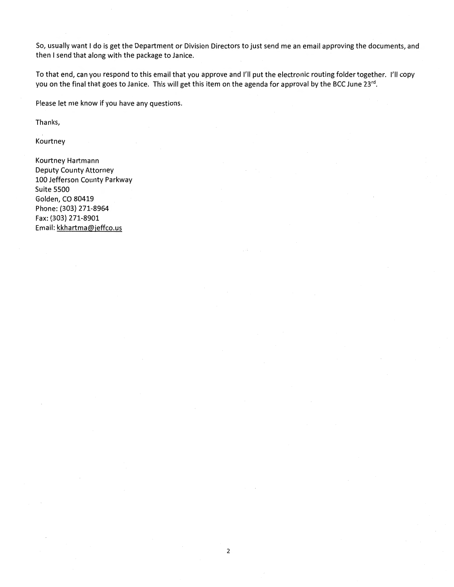So, usually want I do is get the Department or Division Directors to just send me an email approving the documents, and then I send that along with the package to Janice.

To that end, can you respond to this email that you approve and I'll put the electronic routing folder together. I'll copy you on the final that goes to Janice. This will get this item on the agenda for approval by the BCC June 23rd.

Please let me know if you have any questions.

Thanks,

Kourtney

Kourtney Hartmann Deputy County Attorney 100 Jefferson County Parkway Suite 5500 Golden, CO 80419 Phone: (303) 271-8964 Fax: (303) 271-8901 Email: kkhartma@jeffco.us